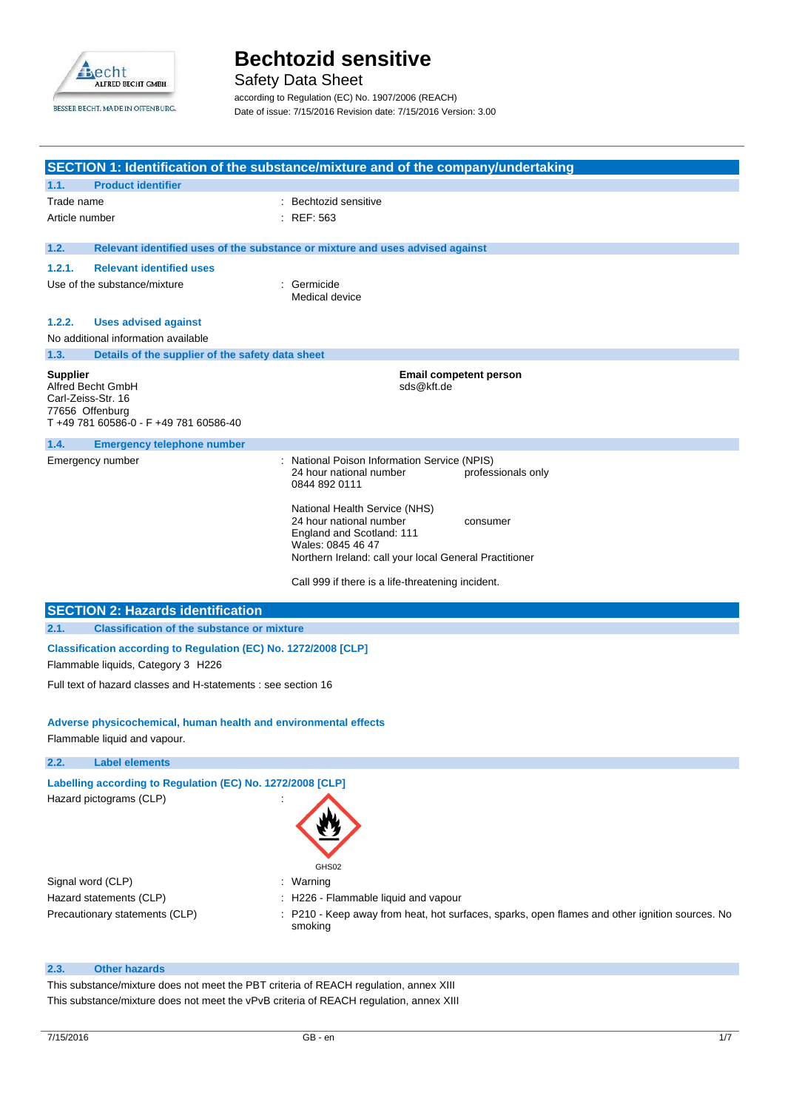

Safety Data Sheet

according to Regulation (EC) No. 1907/2006 (REACH) Date of issue: 7/15/2016 Revision date: 7/15/2016 Version: 3.00

|                                    |                                                                                                       | SECTION 1: Identification of the substance/mixture and of the company/undertaking                                                                                                                                                     |
|------------------------------------|-------------------------------------------------------------------------------------------------------|---------------------------------------------------------------------------------------------------------------------------------------------------------------------------------------------------------------------------------------|
| 1.1.                               | <b>Product identifier</b>                                                                             |                                                                                                                                                                                                                                       |
| Trade name                         |                                                                                                       | Bechtozid sensitive                                                                                                                                                                                                                   |
| Article number                     |                                                                                                       | <b>REF: 563</b>                                                                                                                                                                                                                       |
|                                    |                                                                                                       |                                                                                                                                                                                                                                       |
| 1.2.                               |                                                                                                       | Relevant identified uses of the substance or mixture and uses advised against                                                                                                                                                         |
| 1.2.1.                             | <b>Relevant identified uses</b>                                                                       |                                                                                                                                                                                                                                       |
|                                    | Use of the substance/mixture                                                                          | Germicide<br>Medical device                                                                                                                                                                                                           |
| 1.2.2.                             | <b>Uses advised against</b>                                                                           |                                                                                                                                                                                                                                       |
|                                    | No additional information available                                                                   |                                                                                                                                                                                                                                       |
| 1.3.                               | Details of the supplier of the safety data sheet                                                      |                                                                                                                                                                                                                                       |
| <b>Supplier</b><br>77656 Offenburg | Alfred Becht GmbH<br>Carl-Zeiss-Str. 16<br>T +49 781 60586-0 - F +49 781 60586-40                     | <b>Email competent person</b><br>sds@kft.de                                                                                                                                                                                           |
| 1.4.                               | <b>Emergency telephone number</b>                                                                     |                                                                                                                                                                                                                                       |
| Emergency number                   |                                                                                                       | : National Poison Information Service (NPIS)<br>24 hour national number<br>professionals only<br>0844 892 0111                                                                                                                        |
|                                    |                                                                                                       | National Health Service (NHS)<br>24 hour national number<br>consumer<br>England and Scotland: 111<br>Wales: 0845 46 47<br>Northern Ireland: call your local General Practitioner<br>Call 999 if there is a life-threatening incident. |
|                                    | <b>SECTION 2: Hazards identification</b>                                                              |                                                                                                                                                                                                                                       |
| 2.1.                               | <b>Classification of the substance or mixture</b>                                                     |                                                                                                                                                                                                                                       |
|                                    | Classification according to Regulation (EC) No. 1272/2008 [CLP]<br>Flammable liquids, Category 3 H226 |                                                                                                                                                                                                                                       |
|                                    | Full text of hazard classes and H-statements : see section 16                                         |                                                                                                                                                                                                                                       |
|                                    | Adverse physicochemical, human health and environmental effects<br>Flammable liquid and vapour.       |                                                                                                                                                                                                                                       |
| 2.2.                               | <b>Label elements</b>                                                                                 |                                                                                                                                                                                                                                       |
|                                    | Labelling according to Regulation (EC) No. 1272/2008 [CLP]<br>Hazard pictograms (CLP)                 |                                                                                                                                                                                                                                       |
|                                    | Signal word (CLP)<br>Hazard statements (CLP)                                                          | GHS02<br>: Warning<br>: H226 - Flammable liquid and vapour                                                                                                                                                                            |

Precautionary statements (CLP) : P210 - Keep away from heat, hot surfaces, sparks, open flames and other ignition sources. No smoking

### **2.3. Other hazards**

This substance/mixture does not meet the PBT criteria of REACH regulation, annex XIII This substance/mixture does not meet the vPvB criteria of REACH regulation, annex XIII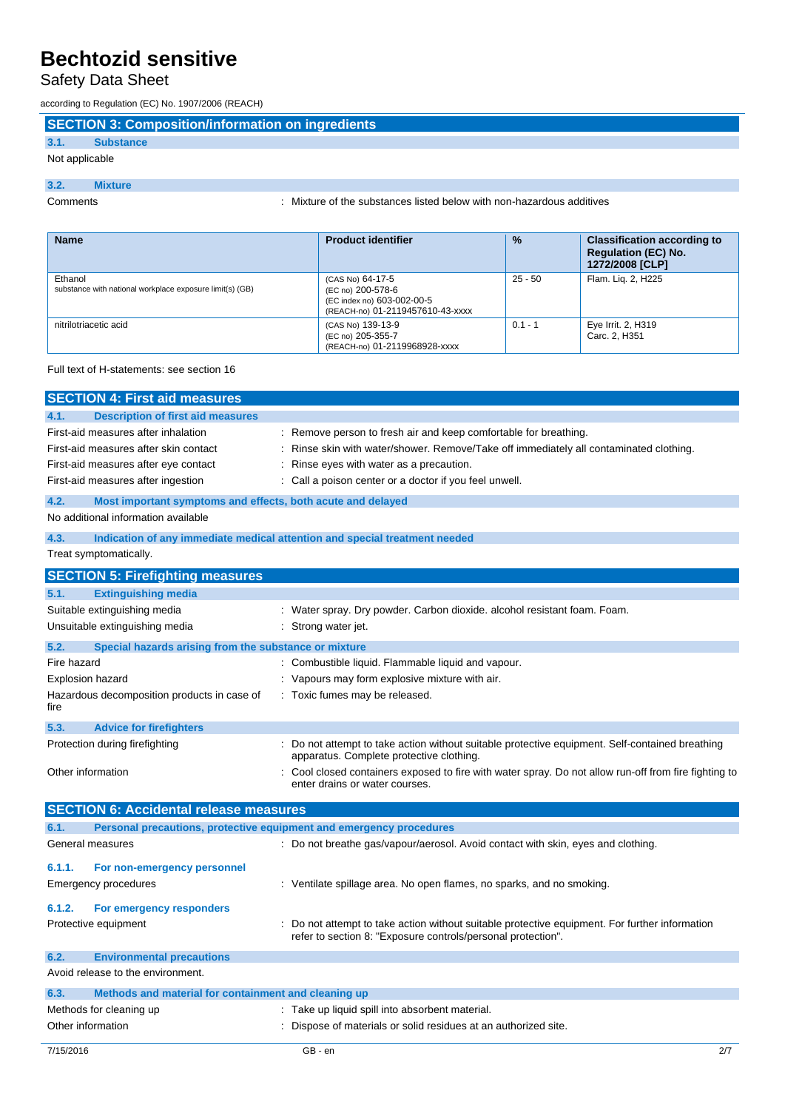# Safety Data Sheet

according to Regulation (EC) No. 1907/2006 (REACH)

# **SECTION 3: Composition/information on ingredients**

## **3.1. Substance**

## Not applicable

### **3.2. Mixture**

Comments : Mixture of the substances listed below with non-hazardous additives

| <b>Name</b>                                                         | <b>Product identifier</b>                                                                               | $\frac{9}{6}$ | <b>Classification according to</b><br><b>Requlation (EC) No.</b><br>1272/2008 [CLP] |
|---------------------------------------------------------------------|---------------------------------------------------------------------------------------------------------|---------------|-------------------------------------------------------------------------------------|
| Ethanol<br>substance with national workplace exposure limit(s) (GB) | (CAS No) 64-17-5<br>(EC no) 200-578-6<br>(EC index no) 603-002-00-5<br>(REACH-no) 01-2119457610-43-xxxx | $25 - 50$     | Flam. Lig. 2, H225                                                                  |
| nitrilotriacetic acid                                               | (CAS No) 139-13-9<br>(EC no) 205-355-7<br>(REACH-no) 01-2119968928-xxxx                                 | $0.1 - 1$     | Eye Irrit. 2, H319<br>Carc. 2. H351                                                 |

## Full text of H-statements: see section 16

| <b>SECTION 4: First aid measures</b>                                                                                                                       |                                                                                                                                                                                                                                                          |  |  |  |
|------------------------------------------------------------------------------------------------------------------------------------------------------------|----------------------------------------------------------------------------------------------------------------------------------------------------------------------------------------------------------------------------------------------------------|--|--|--|
| 4.1.<br><b>Description of first aid measures</b>                                                                                                           |                                                                                                                                                                                                                                                          |  |  |  |
| First-aid measures after inhalation<br>First-aid measures after skin contact<br>First-aid measures after eye contact<br>First-aid measures after ingestion | Remove person to fresh air and keep comfortable for breathing.<br>Rinse skin with water/shower. Remove/Take off immediately all contaminated clothing.<br>Rinse eyes with water as a precaution.<br>Call a poison center or a doctor if you feel unwell. |  |  |  |
| 4.2.                                                                                                                                                       | Most important symptoms and effects, both acute and delayed                                                                                                                                                                                              |  |  |  |
| No additional information available                                                                                                                        |                                                                                                                                                                                                                                                          |  |  |  |
| 4.3.                                                                                                                                                       | Indication of any immediate medical attention and special treatment needed                                                                                                                                                                               |  |  |  |
| Treat symptomatically.                                                                                                                                     |                                                                                                                                                                                                                                                          |  |  |  |
| <b>SECTION 5: Firefighting measures</b>                                                                                                                    |                                                                                                                                                                                                                                                          |  |  |  |
| <b>Extinguishing media</b><br>5.1.                                                                                                                         |                                                                                                                                                                                                                                                          |  |  |  |
| Suitable extinguishing media<br>Unsuitable extinguishing media                                                                                             | : Water spray. Dry powder. Carbon dioxide. alcohol resistant foam. Foam.<br>: Strong water jet.                                                                                                                                                          |  |  |  |
| Special hazards arising from the substance or mixture<br>5.2.                                                                                              |                                                                                                                                                                                                                                                          |  |  |  |
| Fire hazard                                                                                                                                                | : Combustible liquid. Flammable liquid and vapour.                                                                                                                                                                                                       |  |  |  |
| <b>Explosion hazard</b>                                                                                                                                    | Vapours may form explosive mixture with air.                                                                                                                                                                                                             |  |  |  |
| Hazardous decomposition products in case of<br>fire                                                                                                        | Toxic fumes may be released.                                                                                                                                                                                                                             |  |  |  |
| 5.3.<br><b>Advice for firefighters</b>                                                                                                                     |                                                                                                                                                                                                                                                          |  |  |  |
| Protection during firefighting                                                                                                                             | Do not attempt to take action without suitable protective equipment. Self-contained breathing<br>apparatus. Complete protective clothing.                                                                                                                |  |  |  |
| Other information                                                                                                                                          | Cool closed containers exposed to fire with water spray. Do not allow run-off from fire fighting to<br>enter drains or water courses.                                                                                                                    |  |  |  |
| <b>SECTION 6: Accidental release measures</b>                                                                                                              |                                                                                                                                                                                                                                                          |  |  |  |
| 6.1.                                                                                                                                                       | Personal precautions, protective equipment and emergency procedures                                                                                                                                                                                      |  |  |  |
| General measures                                                                                                                                           | : Do not breathe gas/vapour/aerosol. Avoid contact with skin, eyes and clothing.                                                                                                                                                                         |  |  |  |
| 6.1.1.<br>For non-emergency personnel<br><b>Emergency procedures</b><br>6.1.2.<br>For emergency responders                                                 | : Ventilate spillage area. No open flames, no sparks, and no smoking.                                                                                                                                                                                    |  |  |  |
| Protective equipment                                                                                                                                       | Do not attempt to take action without suitable protective equipment. For further information<br>refer to section 8: "Exposure controls/personal protection".                                                                                             |  |  |  |
| 6.2.<br><b>Environmental precautions</b>                                                                                                                   |                                                                                                                                                                                                                                                          |  |  |  |
| Avoid release to the environment.                                                                                                                          |                                                                                                                                                                                                                                                          |  |  |  |
| 6.3.<br>Methods and material for containment and cleaning up                                                                                               |                                                                                                                                                                                                                                                          |  |  |  |
| Methods for cleaning up<br>: Take up liquid spill into absorbent material.                                                                                 |                                                                                                                                                                                                                                                          |  |  |  |
| Other information                                                                                                                                          | Dispose of materials or solid residues at an authorized site.                                                                                                                                                                                            |  |  |  |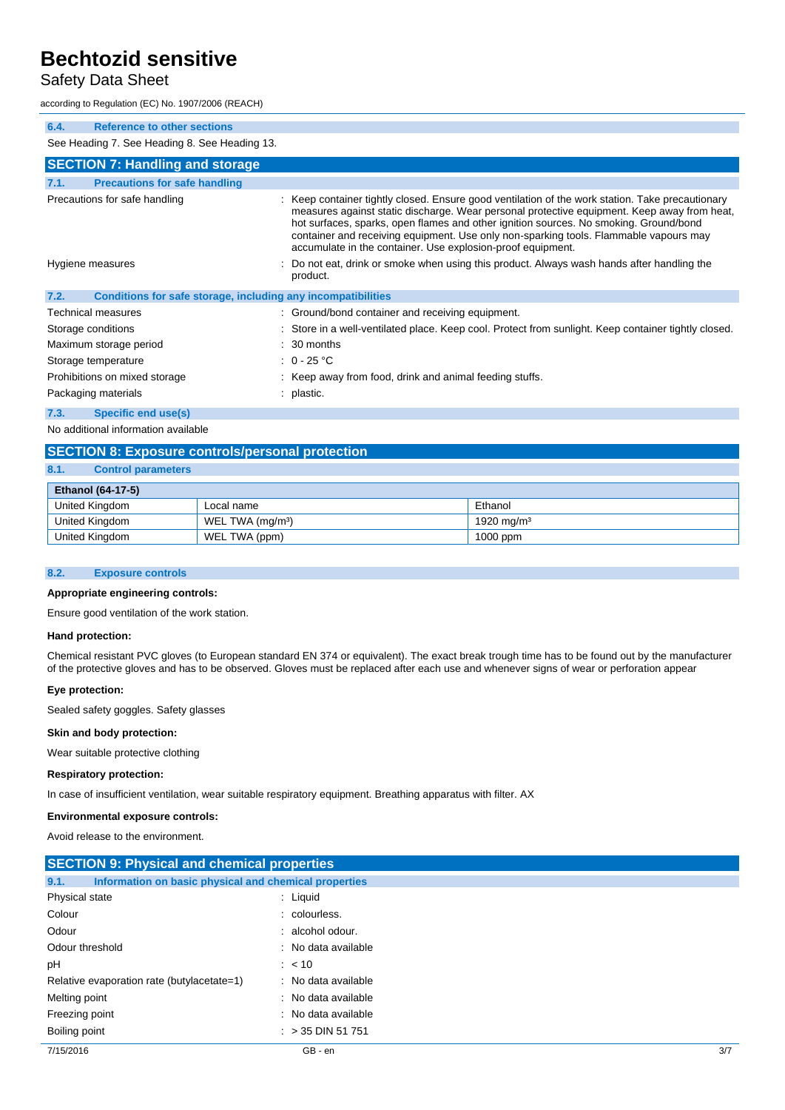# Safety Data Sheet

according to Regulation (EC) No. 1907/2006 (REACH)

| 6.4.                          | <b>Reference to other sections</b>                           |  |                                                                                                                                                                                                                                                                                                                                                                                                                                                  |  |  |  |
|-------------------------------|--------------------------------------------------------------|--|--------------------------------------------------------------------------------------------------------------------------------------------------------------------------------------------------------------------------------------------------------------------------------------------------------------------------------------------------------------------------------------------------------------------------------------------------|--|--|--|
|                               | See Heading 7. See Heading 8. See Heading 13.                |  |                                                                                                                                                                                                                                                                                                                                                                                                                                                  |  |  |  |
|                               | <b>SECTION 7: Handling and storage</b>                       |  |                                                                                                                                                                                                                                                                                                                                                                                                                                                  |  |  |  |
| 7.1.                          | <b>Precautions for safe handling</b>                         |  |                                                                                                                                                                                                                                                                                                                                                                                                                                                  |  |  |  |
|                               | Precautions for safe handling                                |  | : Keep container tightly closed. Ensure good ventilation of the work station. Take precautionary<br>measures against static discharge. Wear personal protective equipment. Keep away from heat,<br>hot surfaces, sparks, open flames and other ignition sources. No smoking. Ground/bond<br>container and receiving equipment. Use only non-sparking tools. Flammable vapours may<br>accumulate in the container. Use explosion-proof equipment. |  |  |  |
| Hygiene measures              |                                                              |  | Do not eat, drink or smoke when using this product. Always wash hands after handling the<br>product.                                                                                                                                                                                                                                                                                                                                             |  |  |  |
| 7.2.                          | Conditions for safe storage, including any incompatibilities |  |                                                                                                                                                                                                                                                                                                                                                                                                                                                  |  |  |  |
|                               | Technical measures                                           |  | : Ground/bond container and receiving equipment.                                                                                                                                                                                                                                                                                                                                                                                                 |  |  |  |
|                               | Storage conditions                                           |  | : Store in a well-ventilated place. Keep cool. Protect from sunlight. Keep container tightly closed.                                                                                                                                                                                                                                                                                                                                             |  |  |  |
|                               | Maximum storage period                                       |  | $\therefore$ 30 months                                                                                                                                                                                                                                                                                                                                                                                                                           |  |  |  |
| Storage temperature           |                                                              |  | : $0 - 25$ °C                                                                                                                                                                                                                                                                                                                                                                                                                                    |  |  |  |
| Prohibitions on mixed storage |                                                              |  | : Keep away from food, drink and animal feeding stuffs.                                                                                                                                                                                                                                                                                                                                                                                          |  |  |  |
| Packaging materials           |                                                              |  | : plastic.                                                                                                                                                                                                                                                                                                                                                                                                                                       |  |  |  |
| 7.3.                          | Specific end use(s)                                          |  |                                                                                                                                                                                                                                                                                                                                                                                                                                                  |  |  |  |

No additional information available

## **SECTION 8: Exposure controls/personal protection**

### **8.1. Control parameters**

| <b>Ethanol (64-17-5)</b> |                              |                        |  |  |
|--------------------------|------------------------------|------------------------|--|--|
| United Kingdom           | Local name                   | Ethanol                |  |  |
| United Kingdom           | WEL TWA (mg/m <sup>3</sup> ) | 1920 mg/m <sup>3</sup> |  |  |
| United Kingdom           | WEL TWA (ppm)                | $1000$ ppm             |  |  |

### **8.2. Exposure controls**

### **Appropriate engineering controls:**

Ensure good ventilation of the work station.

#### **Hand protection:**

Chemical resistant PVC gloves (to European standard EN 374 or equivalent). The exact break trough time has to be found out by the manufacturer of the protective gloves and has to be observed. Gloves must be replaced after each use and whenever signs of wear or perforation appear

#### **Eye protection:**

Sealed safety goggles. Safety glasses

#### **Skin and body protection:**

Wear suitable protective clothing

### **Respiratory protection:**

In case of insufficient ventilation, wear suitable respiratory equipment. Breathing apparatus with filter. AX

#### **Environmental exposure controls:**

Avoid release to the environment.

| <b>SECTION 9: Physical and chemical properties</b>            |                     |  |  |
|---------------------------------------------------------------|---------------------|--|--|
| 9.1.<br>Information on basic physical and chemical properties |                     |  |  |
| Physical state                                                | $:$ Liquid          |  |  |
| Colour                                                        | : colourless.       |  |  |
| Odour                                                         | : alcohol odour.    |  |  |
| Odour threshold                                               | : No data available |  |  |
| pH                                                            | : < 10              |  |  |
| Relative evaporation rate (butylacetate=1)                    | : No data available |  |  |
| Melting point                                                 | : No data available |  |  |
| Freezing point                                                | : No data available |  |  |
| Boiling point                                                 | $: > 35$ DIN 51 751 |  |  |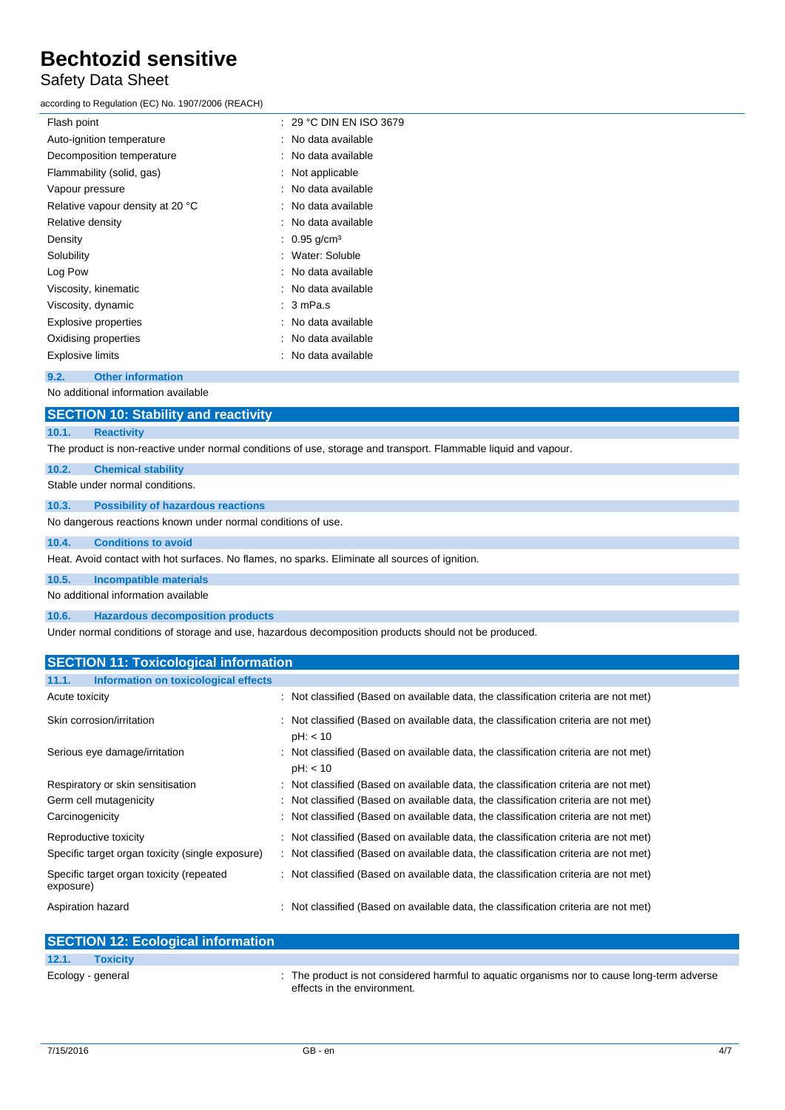# Safety Data Sheet

according to Regulation (EC) No. 1907/2006 (REACH)

| Flash point                         | $: 29 °C$ DIN EN ISO 3679  |  |  |  |
|-------------------------------------|----------------------------|--|--|--|
| Auto-ignition temperature           | : No data available        |  |  |  |
| Decomposition temperature           | : No data available        |  |  |  |
| Flammability (solid, gas)           | $:$ Not applicable         |  |  |  |
| Vapour pressure                     | : No data available        |  |  |  |
| Relative vapour density at 20 °C    | : No data available        |  |  |  |
| Relative density                    | : No data available        |  |  |  |
| Density                             | : $0.95$ g/cm <sup>3</sup> |  |  |  |
| Solubility                          | : Water: Soluble           |  |  |  |
| Log Pow                             | : No data available        |  |  |  |
| Viscosity, kinematic                | : No data available        |  |  |  |
| Viscosity, dynamic                  | $: 3$ mPa.s                |  |  |  |
| Explosive properties                | : No data available        |  |  |  |
| Oxidising properties                | : No data available        |  |  |  |
| <b>Explosive limits</b>             | : No data available        |  |  |  |
| <b>Other information</b><br>9.2.    |                            |  |  |  |
| No additional information available |                            |  |  |  |
| <b>AMARIAN LA AL LUIL</b>           | <b>STATISTICS</b>          |  |  |  |

## **SECTION 10: Stability and reactivity**

#### **10.1. Reactivity**

The product is non-reactive under normal conditions of use, storage and transport. Flammable liquid and vapour.

### **10.2. Chemical stability**

Stable under normal conditions.

**10.3. Possibility of hazardous reactions**

No dangerous reactions known under normal conditions of use.

### **10.4. Conditions to avoid**

Heat. Avoid contact with hot surfaces. No flames, no sparks. Eliminate all sources of ignition.

**10.5. Incompatible materials**

No additional information available

**10.6. Hazardous decomposition products**

Under normal conditions of storage and use, hazardous decomposition products should not be produced.

| <b>SECTION 11: Toxicological information</b>          |                                                                                                 |  |  |  |
|-------------------------------------------------------|-------------------------------------------------------------------------------------------------|--|--|--|
| 11.1.<br>Information on toxicological effects         |                                                                                                 |  |  |  |
| Acute toxicity                                        | : Not classified (Based on available data, the classification criteria are not met)             |  |  |  |
| Skin corrosion/irritation                             | : Not classified (Based on available data, the classification criteria are not met)<br>pH: < 10 |  |  |  |
| Serious eye damage/irritation                         | : Not classified (Based on available data, the classification criteria are not met)<br>pH: < 10 |  |  |  |
| Respiratory or skin sensitisation                     | : Not classified (Based on available data, the classification criteria are not met)             |  |  |  |
| Germ cell mutagenicity                                | : Not classified (Based on available data, the classification criteria are not met)             |  |  |  |
| Carcinogenicity                                       | : Not classified (Based on available data, the classification criteria are not met)             |  |  |  |
| Reproductive toxicity                                 | : Not classified (Based on available data, the classification criteria are not met)             |  |  |  |
| Specific target organ toxicity (single exposure)      | : Not classified (Based on available data, the classification criteria are not met)             |  |  |  |
| Specific target organ toxicity (repeated<br>exposure) | : Not classified (Based on available data, the classification criteria are not met)             |  |  |  |
| Aspiration hazard                                     | : Not classified (Based on available data, the classification criteria are not met)             |  |  |  |

| <b>SECTION 12: Ecological information</b> |                                                                                                                            |
|-------------------------------------------|----------------------------------------------------------------------------------------------------------------------------|
| 12.1.<br><b>Toxicity</b>                  |                                                                                                                            |
| Ecology - general                         | : The product is not considered harmful to aquatic organisms nor to cause long-term adverse<br>effects in the environment. |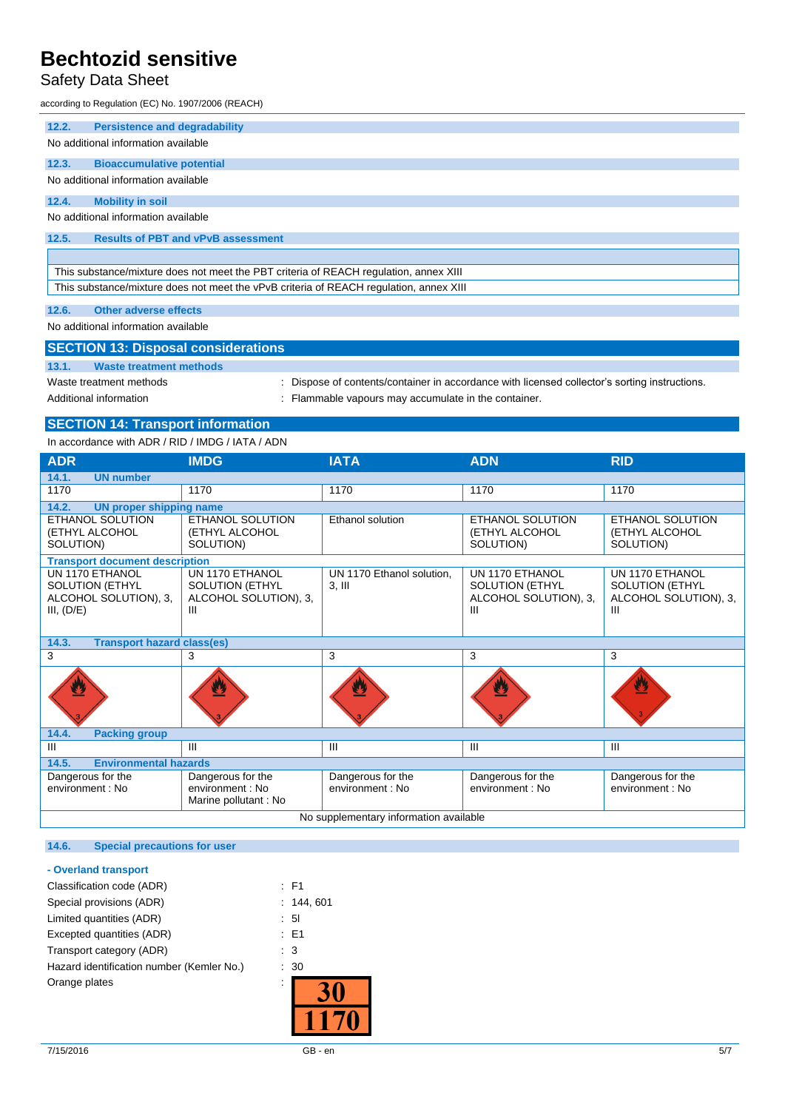# Safety Data Sheet

according to Regulation (EC) No. 1907/2006 (REACH)

| 12.2.                                                                                  | <b>Persistence and degradability</b>      |  |  |  |  |
|----------------------------------------------------------------------------------------|-------------------------------------------|--|--|--|--|
|                                                                                        | No additional information available       |  |  |  |  |
| 12.3.                                                                                  | <b>Bioaccumulative potential</b>          |  |  |  |  |
|                                                                                        | No additional information available       |  |  |  |  |
| 12.4.                                                                                  | <b>Mobility in soil</b>                   |  |  |  |  |
|                                                                                        | No additional information available       |  |  |  |  |
| 12.5.                                                                                  | <b>Results of PBT and vPvB assessment</b> |  |  |  |  |
|                                                                                        |                                           |  |  |  |  |
| This substance/mixture does not meet the PBT criteria of REACH regulation, annex XIII  |                                           |  |  |  |  |
| This substance/mixture does not meet the vPvB criteria of REACH regulation, annex XIII |                                           |  |  |  |  |
| 12.6.                                                                                  | <b>Other adverse effects</b>              |  |  |  |  |

No additional information available

| <b>SECTION 13: Disposal considerations</b> |                                                                                               |  |  |  |
|--------------------------------------------|-----------------------------------------------------------------------------------------------|--|--|--|
| 13.1.<br>Waste treatment methods           |                                                                                               |  |  |  |
| Waste treatment methods                    | : Dispose of contents/container in accordance with licensed collector's sorting instructions. |  |  |  |
| Additional information                     | : Flammable vapours may accumulate in the container.                                          |  |  |  |

# **SECTION 14: Transport information**

In accordance with ADR / RID / IMDG / IATA / ADN

| <b>ADR</b>                                                                       | <b>IMDG</b>                                                             | <b>IATA</b>                           | <b>ADN</b>                                                              | <b>RID</b>                                                              |  |  |
|----------------------------------------------------------------------------------|-------------------------------------------------------------------------|---------------------------------------|-------------------------------------------------------------------------|-------------------------------------------------------------------------|--|--|
| 14.1.<br><b>UN number</b>                                                        |                                                                         |                                       |                                                                         |                                                                         |  |  |
| 1170                                                                             | 1170                                                                    | 1170                                  | 1170                                                                    | 1170                                                                    |  |  |
| 14.2.<br><b>UN proper shipping name</b>                                          |                                                                         |                                       |                                                                         |                                                                         |  |  |
| ETHANOL SOLUTION<br>(ETHYL ALCOHOL<br>SOLUTION)                                  | ETHANOL SOLUTION<br>(ETHYL ALCOHOL<br>SOLUTION)                         | <b>Ethanol solution</b>               | <b>ETHANOL SOLUTION</b><br>(ETHYL ALCOHOL<br>SOLUTION)                  | ETHANOL SOLUTION<br>(ETHYL ALCOHOL<br>SOLUTION)                         |  |  |
| <b>Transport document description</b>                                            |                                                                         |                                       |                                                                         |                                                                         |  |  |
| UN 1170 ETHANOL<br><b>SOLUTION (ETHYL</b><br>ALCOHOL SOLUTION), 3,<br>III, (D/E) | UN 1170 ETHANOL<br><b>SOLUTION (ETHYL</b><br>ALCOHOL SOLUTION), 3,<br>Ш | UN 1170 Ethanol solution.<br>$3,$ III | UN 1170 ETHANOL<br><b>SOLUTION (ETHYL</b><br>ALCOHOL SOLUTION), 3,<br>Ш | UN 1170 ETHANOL<br><b>SOLUTION (ETHYL</b><br>ALCOHOL SOLUTION), 3,<br>Ш |  |  |
| <b>Transport hazard class(es)</b><br>14.3.                                       |                                                                         |                                       |                                                                         |                                                                         |  |  |
| 3                                                                                | 3                                                                       | 3                                     | 3                                                                       | 3                                                                       |  |  |
|                                                                                  |                                                                         |                                       |                                                                         | W                                                                       |  |  |
| 14.4.<br><b>Packing group</b>                                                    |                                                                         |                                       |                                                                         |                                                                         |  |  |
| III                                                                              | Ш                                                                       | $\mathbf{III}$                        | $\mathbf{III}$                                                          | III                                                                     |  |  |
| 14.5.<br><b>Environmental hazards</b>                                            |                                                                         |                                       |                                                                         |                                                                         |  |  |
| Dangerous for the<br>environment: No                                             | Dangerous for the<br>environment: No<br>Marine pollutant : No           | Dangerous for the<br>environment: No  | Dangerous for the<br>environment: No                                    | Dangerous for the<br>environment: No                                    |  |  |
| No supplementary information available                                           |                                                                         |                                       |                                                                         |                                                                         |  |  |

## **14.6. Special precautions for user**

### **- Overland transport**

| Classification code (ADR)                 | : F1            |
|-------------------------------------------|-----------------|
| Special provisions (ADR)                  | : 144.601       |
| Limited quantities (ADR)                  | $\therefore$ 51 |
| Excepted quantities (ADR)                 | : E1            |
| Transport category (ADR)                  | $\therefore$ 3  |
| Hazard identification number (Kemler No.) | : 30            |
| Orange plates                             |                 |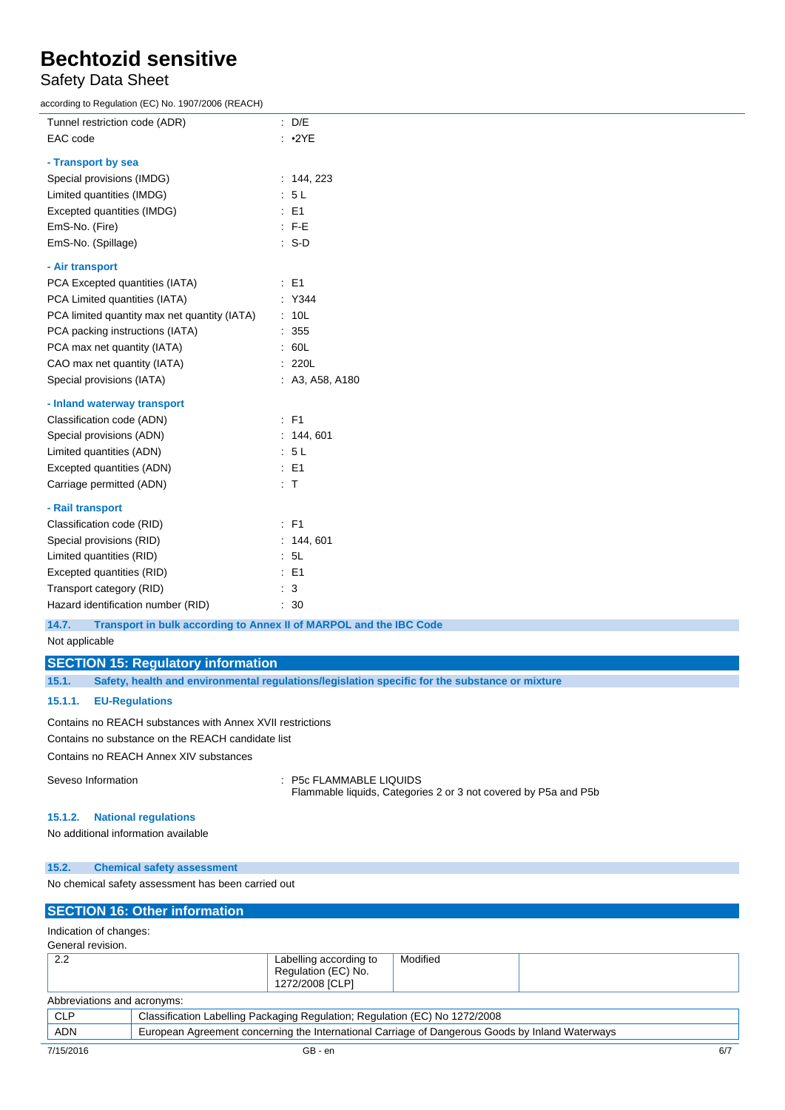# Safety Data Sheet

according to Regulation (EC) No. 1907/2006 (REACH)

| Tunnel restriction code (ADR)                | : D/E                                                              |
|----------------------------------------------|--------------------------------------------------------------------|
| EAC code                                     | : 2YE                                                              |
| - Transport by sea                           |                                                                    |
| Special provisions (IMDG)                    | : 144, 223                                                         |
| Limited quantities (IMDG)                    | : 5L                                                               |
| Excepted quantities (IMDG)                   | $E = 1$                                                            |
| EmS-No. (Fire)                               | $: F-E$                                                            |
| EmS-No. (Spillage)                           | $: S-D$                                                            |
| - Air transport                              |                                                                    |
| PCA Excepted quantities (IATA)               | $\therefore$ E1                                                    |
| PCA Limited quantities (IATA)                | : Y344                                                             |
| PCA limited quantity max net quantity (IATA) | : 10L                                                              |
| PCA packing instructions (IATA)              | : 355                                                              |
| PCA max net quantity (IATA)                  | : 60L                                                              |
| CAO max net quantity (IATA)                  | : 220L                                                             |
| Special provisions (IATA)                    | : A3, A58, A180                                                    |
| - Inland waterway transport                  |                                                                    |
| Classification code (ADN)                    | : F1                                                               |
| Special provisions (ADN)                     | : 144, 601                                                         |
| Limited quantities (ADN)                     | : 5L                                                               |
| Excepted quantities (ADN)                    | $E = 51$                                                           |
| Carriage permitted (ADN)                     | : T                                                                |
| - Rail transport                             |                                                                    |
| Classification code (RID)                    | $\therefore$ F1                                                    |
| Special provisions (RID)                     | : 144, 601                                                         |
| Limited quantities (RID)                     | : 5L                                                               |
| Excepted quantities (RID)                    | $E = 1$                                                            |
| Transport category (RID)                     | $\therefore$ 3                                                     |
| Hazard identification number (RID)           | : 30                                                               |
| 14.7.                                        | Transport in bulk according to Annex II of MARPOL and the IBC Code |
| Not conlicable                               |                                                                    |

```
Not applicable
```
**SECTION 15: Regulatory information**

**15.1. Safety, health and environmental regulations/legislation specific for the substance or mixture**

## **15.1.1. EU-Regulations**

Contains no REACH substances with Annex XVII restrictions

Contains no substance on the REACH candidate list Contains no REACH Annex XIV substances

Seveso Information **Seveso Information** : P5c FLAMMABLE LIQUIDS Flammable liquids, Categories 2 or 3 not covered by P5a and P5b

### **15.1.2. National regulations**

No additional information available

### **15.2. Chemical safety assessment**

No chemical safety assessment has been carried out

### **SECTION 16: Other information**

Indication of changes: General revision.

| 0.0110141101101011          |                                                                  |          |  |
|-----------------------------|------------------------------------------------------------------|----------|--|
| ົາເ<br>ے ۔                  | Labelling according to<br>Regulation (EC) No.<br>1272/2008 [CLP] | Modified |  |
| Abbreviations and acronyms: |                                                                  |          |  |

| ICLF      | Classification Labelling Packaging Regulation; Regulation (EC) No 1272/2008                     |  |
|-----------|-------------------------------------------------------------------------------------------------|--|
| ADN       | European Agreement concerning the International Carriage of Dangerous Goods by Inland Waterways |  |
| 7/15/2016 | GB - en                                                                                         |  |